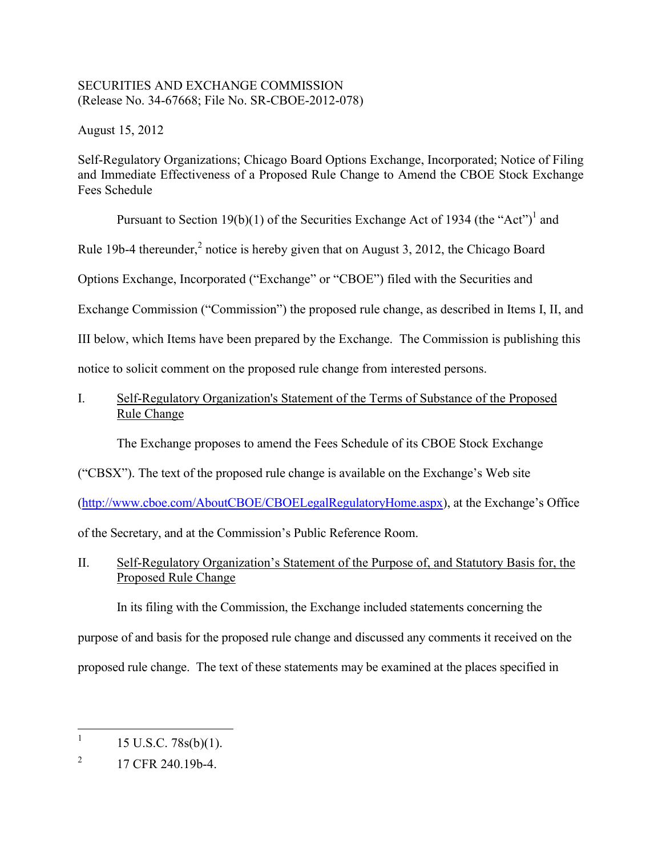### SECURITIES AND EXCHANGE COMMISSION (Release No. 34-67668; File No. SR-CBOE-2012-078)

August 15, 2012

Self-Regulatory Organizations; Chicago Board Options Exchange, Incorporated; Notice of Filing and Immediate Effectiveness of a Proposed Rule Change to Amend the CBOE Stock Exchange Fees Schedule

Pursuant to Section 19(b)(1) of the Securities Exchange Act of 1934 (the "Act")<sup>1</sup> and

Rule 19b-4 thereunder, $^2$  notice is hereby given that on August 3, 2012, the Chicago Board

Options Exchange, Incorporated ("Exchange" or "CBOE") filed with the Securities and

Exchange Commission ("Commission") the proposed rule change, as described in Items I, II, and

III below, which Items have been prepared by the Exchange. The Commission is publishing this

notice to solicit comment on the proposed rule change from interested persons.

I. Self-Regulatory Organization's Statement of the Terms of Substance of the Proposed Rule Change

The Exchange proposes to amend the Fees Schedule of its CBOE Stock Exchange

("CBSX"). The text of the proposed rule change is available on the Exchange's Web site

([http://www.cboe.com/AboutCBOE/CBOELegalRegulatoryHome.aspx\)](http://www.cboe.com/AboutCBOE/CBOELegalRegulatoryHome.aspx), at the Exchange's Office

of the Secretary, and at the Commission's Public Reference Room.

II. Self-Regulatory Organization's Statement of the Purpose of, and Statutory Basis for, the Proposed Rule Change

In its filing with the Commission, the Exchange included statements concerning the purpose of and basis for the proposed rule change and discussed any comments it received on the proposed rule change. The text of these statements may be examined at the places specified in

 $\overline{a}$  $15$  U.S.C.  $78s(b)(1)$ .

 $\overline{2}$ 2 17 CFR 240.19b-4.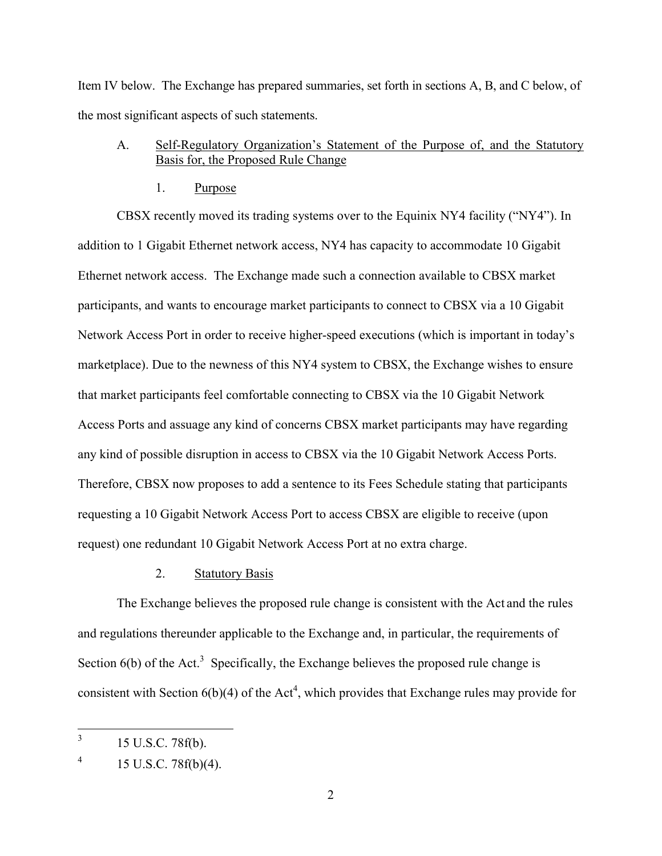Item IV below. The Exchange has prepared summaries, set forth in sections A, B, and C below, of the most significant aspects of such statements.

# A. Self-Regulatory Organization's Statement of the Purpose of, and the Statutory Basis for, the Proposed Rule Change

#### 1. Purpose

CBSX recently moved its trading systems over to the Equinix NY4 facility ("NY4"). In addition to 1 Gigabit Ethernet network access, NY4 has capacity to accommodate 10 Gigabit Ethernet network access. The Exchange made such a connection available to CBSX market participants, and wants to encourage market participants to connect to CBSX via a 10 Gigabit Network Access Port in order to receive higher-speed executions (which is important in today's marketplace). Due to the newness of this NY4 system to CBSX, the Exchange wishes to ensure that market participants feel comfortable connecting to CBSX via the 10 Gigabit Network Access Ports and assuage any kind of concerns CBSX market participants may have regarding any kind of possible disruption in access to CBSX via the 10 Gigabit Network Access Ports. Therefore, CBSX now proposes to add a sentence to its Fees Schedule stating that participants requesting a 10 Gigabit Network Access Port to access CBSX are eligible to receive (upon request) one redundant 10 Gigabit Network Access Port at no extra charge.

#### 2. Statutory Basis

Section  $6(b)$  of the Act.<sup>3</sup> Specifically, the Exchange believes the proposed rule change is The Exchange believes the proposed rule change is consistent with the Act and the rules and regulations thereunder applicable to the Exchange and, in particular, the requirements of consistent with Section  $6(b)(4)$  of the Act<sup>4</sup>, which provides that Exchange rules may provide for

 $\overline{3}$ 3 15 U.S.C. 78f(b).

 $^{4}$  15 U.S.C. 78f(b)(4).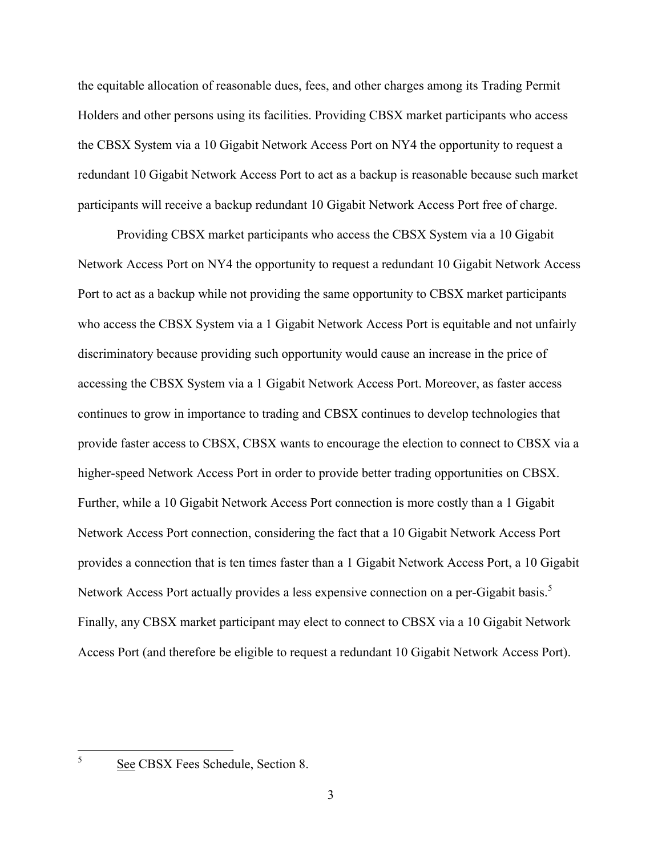the equitable allocation of reasonable dues, fees, and other charges among its Trading Permit Holders and other persons using its facilities. Providing CBSX market participants who access the CBSX System via a 10 Gigabit Network Access Port on NY4 the opportunity to request a redundant 10 Gigabit Network Access Port to act as a backup is reasonable because such market participants will receive a backup redundant 10 Gigabit Network Access Port free of charge.

Providing CBSX market participants who access the CBSX System via a 10 Gigabit Network Access Port on NY4 the opportunity to request a redundant 10 Gigabit Network Access Port to act as a backup while not providing the same opportunity to CBSX market participants who access the CBSX System via a 1 Gigabit Network Access Port is equitable and not unfairly discriminatory because providing such opportunity would cause an increase in the price of accessing the CBSX System via a 1 Gigabit Network Access Port. Moreover, as faster access continues to grow in importance to trading and CBSX continues to develop technologies that provide faster access to CBSX, CBSX wants to encourage the election to connect to CBSX via a higher-speed Network Access Port in order to provide better trading opportunities on CBSX. Further, while a 10 Gigabit Network Access Port connection is more costly than a 1 Gigabit Network Access Port connection, considering the fact that a 10 Gigabit Network Access Port provides a connection that is ten times faster than a 1 Gigabit Network Access Port, a 10 Gigabit Network Access Port actually provides a less expensive connection on a per-Gigabit basis.<sup>5</sup> Finally, any CBSX market participant may elect to connect to CBSX via a 10 Gigabit Network Access Port (and therefore be eligible to request a redundant 10 Gigabit Network Access Port).

 $\frac{1}{5}$ 

See CBSX Fees Schedule, Section 8.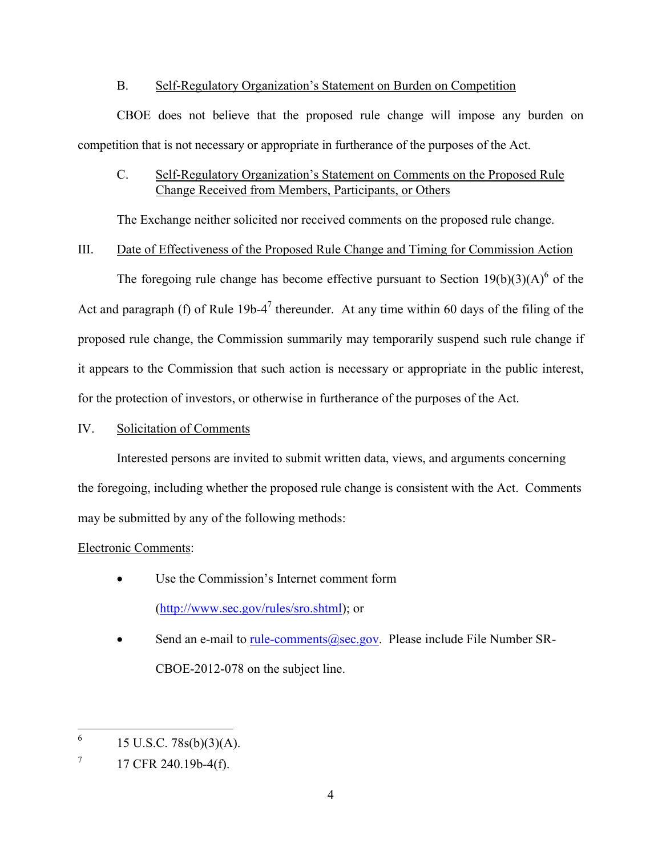### B. Self-Regulatory Organization's Statement on Burden on Competition

CBOE does not believe that the proposed rule change will impose any burden on competition that is not necessary or appropriate in furtherance of the purposes of the Act.

# C. Self-Regulatory Organization's Statement on Comments on the Proposed Rule Change Received from Members, Participants, or Others

The Exchange neither solicited nor received comments on the proposed rule change.

### III. Date of Effectiveness of the Proposed Rule Change and Timing for Commission Action

The foregoing rule change has become effective pursuant to Section  $19(b)(3)(A)^6$  of the Act and paragraph (f) of Rule  $19b-4^7$  thereunder. At any time within 60 days of the filing of the proposed rule change, the Commission summarily may temporarily suspend such rule change if it appears to the Commission that such action is necessary or appropriate in the public interest, for the protection of investors, or otherwise in furtherance of the purposes of the Act.

## IV. Solicitation of Comments

Interested persons are invited to submit written data, views, and arguments concerning the foregoing, including whether the proposed rule change is consistent with the Act. Comments may be submitted by any of the following methods:

# Electronic Comments:

- Use the Commission's Internet comment form (<http://www.sec.gov/rules/sro.shtml>); or
- Send an e-mail to [rule-comments@sec.gov](mailto:rule-comments@sec.gov). Please include File Number SR-CBOE-2012-078 on the subject line.

<sup>6</sup> 15 U.S.C.  $78s(b)(3)(A)$ .

 $7 \,$  17 CFR 240.19b-4(f).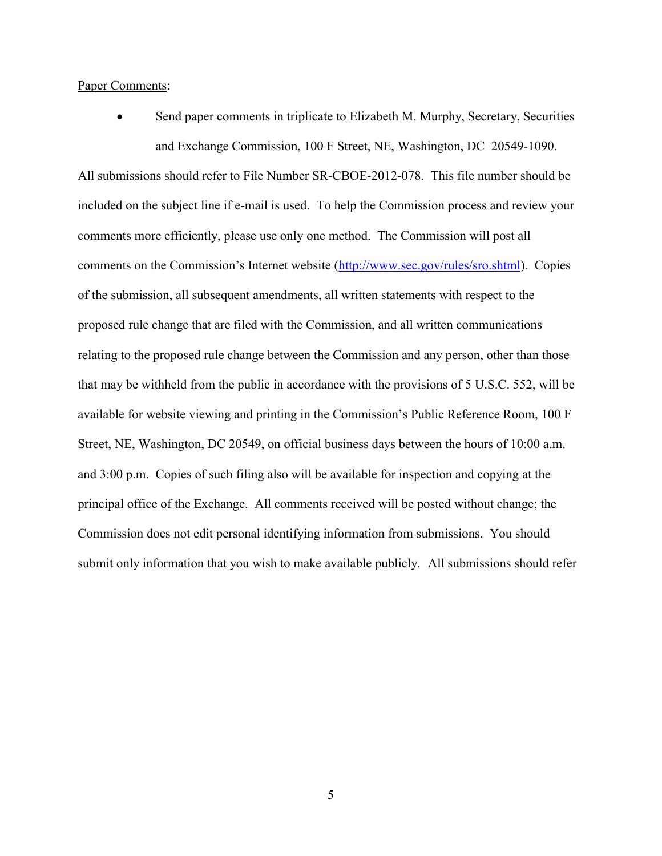#### Paper Comments:

 Send paper comments in triplicate to Elizabeth M. Murphy, Secretary, Securities and Exchange Commission, 100 F Street, NE, Washington, DC 20549-1090.

All submissions should refer to File Number SR-CBOE-2012-078. This file number should be included on the subject line if e-mail is used. To help the Commission process and review your comments more efficiently, please use only one method. The Commission will post all comments on the Commission's Internet website [\(http://www.sec.gov/rules/sro.shtml](http://www.sec.gov/rules/sro.shtml)). Copies of the submission, all subsequent amendments, all written statements with respect to the proposed rule change that are filed with the Commission, and all written communications relating to the proposed rule change between the Commission and any person, other than those that may be withheld from the public in accordance with the provisions of 5 U.S.C. 552, will be available for website viewing and printing in the Commission's Public Reference Room, 100 F Street, NE, Washington, DC 20549, on official business days between the hours of 10:00 a.m. and 3:00 p.m. Copies of such filing also will be available for inspection and copying at the principal office of the Exchange. All comments received will be posted without change; the Commission does not edit personal identifying information from submissions. You should submit only information that you wish to make available publicly. All submissions should refer